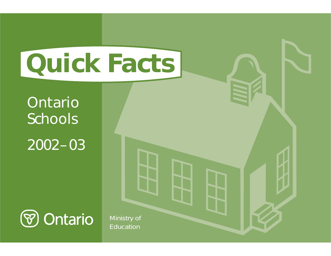# **Quick Facts**

# Ontario Schools 2002– 03



Ministry of Education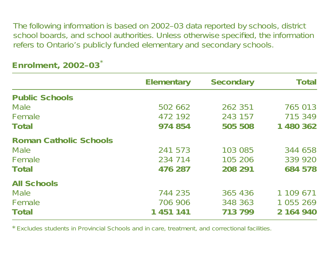The following information is based on 2002–03 data reported by schools, district school boards, and school authorities. Unless otherwise specified, the information refers to Ontario's publicly funded elementary and secondary schools.

|                               | <b>Elementary</b> | <b>Secondary</b> | <b>Total</b> |
|-------------------------------|-------------------|------------------|--------------|
| <b>Public Schools</b>         |                   |                  |              |
| <b>Male</b>                   | 502 662           | 262 351          | 765 013      |
| Female                        | 472 192           | 243 157          | 715 349      |
| <b>Total</b>                  | 974 854           | 505 508          | 1 480 362    |
| <b>Roman Catholic Schools</b> |                   |                  |              |
| <b>Male</b>                   | 241 573           | 103 085          | 344 658      |
| Female                        | 234 714           | 105 206          | 339 920      |
| <b>Total</b>                  | 476 287           | 208 291          | 684 578      |
| <b>All Schools</b>            |                   |                  |              |
| <b>Male</b>                   | 744 235           | 365 436          | 1 109 671    |
| Female                        | 706 906           | 348 363          | 1 055 269    |
| <b>Total</b>                  | 1 451 141         | 713 799          | 2 164 940    |

## **Enrolment, 2002–03** \*

\*Excludes students in Provincial Schools and in care, treatment, and correctional facilities.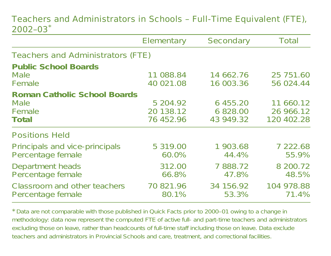#### Teachers and Administrators in Schools – Full-Time Equivalent (FTE), 2002–03\*

|                                                                       | Elementary                         | Secondary                         | Total                                |
|-----------------------------------------------------------------------|------------------------------------|-----------------------------------|--------------------------------------|
| <b>Teachers and Administrators (FTE)</b>                              |                                    |                                   |                                      |
| <b>Public School Boards</b><br><b>Male</b><br>Female                  | 11 088.84<br>40 021.08             | 14 662.76<br>16 003.36            | 25 751.60<br>56 024.44               |
| <b>Roman Catholic School Boards</b><br><b>Male</b><br>Female<br>Total | 5 204.92<br>20 138.12<br>76 452.96 | 6 455.20<br>6 828.00<br>43 949.32 | 11 660.12<br>26 966.12<br>120 402.28 |
| <b>Positions Held</b>                                                 |                                    |                                   |                                      |
| Principals and vice-principals<br>Percentage female                   | 5 319.00<br>60.0%                  | 1 903.68<br>44.4%                 | 7 222.68<br>55.9%                    |
| Department heads<br>Percentage female                                 | 312.00<br>66.8%                    | 7 888.72<br>47.8%                 | 8 200.72<br>48.5%                    |
| <b>Classroom and other teachers</b><br>Percentage female              | 70 821.96<br>80.1%                 | 34 156.92<br>53.3%                | 104 978.88<br>71.4%                  |

\*Data are not comparable with those published in Quick Facts prior to 2000–01 owing to <sup>a</sup> change in methodology: data now represent the computed FTE of active full- and part-time teachers and administrators *excluding those on leave*, rather than headcounts of full-time staff *including those on leave*. Data exclude teachers and administrators in Provincial Schools and care, treatment, and correctional facilities.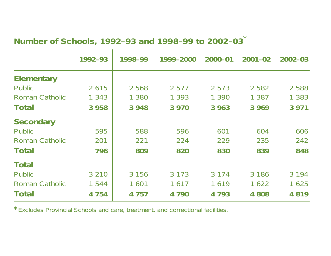#### **Number of Schools, 1992–93 and 1998–99 to 2002–03** \*

|                       | 1992-93 | 1998-99 | 1999-2000 | $2000 - 01$ | $2001 - 02$ | $2002 - 03$ |
|-----------------------|---------|---------|-----------|-------------|-------------|-------------|
| <b>Elementary</b>     |         |         |           |             |             |             |
| Public                | 2615    | 2 5 6 8 | 2 5 7 7   | 2 5 7 3     | 2 5 8 2     | 2 5 8 8     |
| Roman Catholic        | 1 3 4 3 | 1 380   | 1 3 9 3   | 1 3 9 0     | 1 387       | 1 3 8 3     |
| Total                 | 3 9 5 8 | 3 9 4 8 | 3 9 7 0   | 3 9 6 3     | 3 9 6 9     | 3 9 7 1     |
| <b>Secondary</b>      |         |         |           |             |             |             |
| <b>Public</b>         | 595     | 588     | 596       | 601         | 604         | 606         |
| Roman Catholic        | 201     | 221     | 224       | 229         | 235         | 242         |
| Total                 | 796     | 809     | 820       | 830         | 839         | 848         |
| <b>Total</b>          |         |         |           |             |             |             |
| Public                | 3 2 1 0 | 3 1 5 6 | 3 1 7 3   | 3 1 7 4     | 3 1 8 6     | 3 1 9 4     |
| <b>Roman Catholic</b> | 1 544   | 1 601   | 1617      | 1619        | 1622        | 1 6 2 5     |
| Total                 | 4 7 5 4 | 4 7 5 7 | 4 7 9 0   | 4793        | 4 808       | 4819        |

\*Excludes Provincial Schools and care, treatment, and correctional facilities.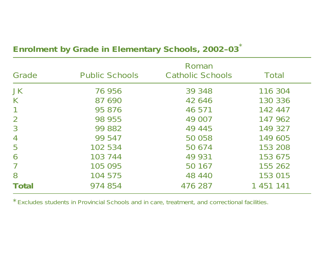|                |                       | Roman                   |           |
|----------------|-----------------------|-------------------------|-----------|
| Grade          | <b>Public Schools</b> | <b>Catholic Schools</b> | Total     |
| <b>JK</b>      | 76 956                | 39 348                  | 116 304   |
| K              | 87 690                | 42 646                  | 130 336   |
|                | 95 876                | 46 571                  | 142 447   |
| $\overline{2}$ | 98 955                | 49 007                  | 147 962   |
| $\overline{3}$ | 99 882                | 49 445                  | 149 327   |
| $\overline{4}$ | 99 547                | 50 058                  | 149 605   |
| 5              | 102 534               | 50 674                  | 153 208   |
| 6              | 103 744               | 49 931                  | 153 675   |
| 7              | 105 095               | 50 167                  | 155 262   |
| 8              | 104 575               | 48 440                  | 153 015   |
| Total          | 974 854               | 476 287                 | 1 451 141 |

#### **Enrolment by Grade in Elementary Schools, 2002–03** \*

\*Excludes students in Provincial Schools and in care, treatment, and correctional facilities.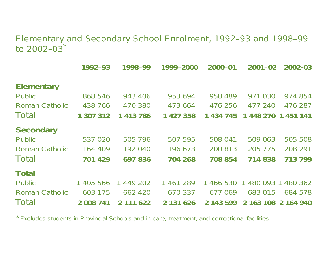#### Elementary and Secondary School Enrolment, 1992–93 and 1998–99 to 2002–03 \*

|                   | 1992-93   | 1998-99   | 1999-2000 | 2000-01   | $2001 - 02$         | 2002-03                   |
|-------------------|-----------|-----------|-----------|-----------|---------------------|---------------------------|
| <b>Elementary</b> |           |           |           |           |                     |                           |
| Public            | 868 546   | 943 406   | 953 694   | 958 489   | 971 030             | 974 854                   |
| Roman Catholic    | 438 766   | 470 380   | 473 664   | 476 256   | 477 240             | 476 287                   |
| Total             | 1 307 312 | 1 413 786 | 1 427 358 | 1 434 745 | 1 448 270           | 1 451 141                 |
| <b>Secondary</b>  |           |           |           |           |                     |                           |
| Public            | 537 020   | 505 796   | 507 595   | 508 041   | 509 063             | 505 508                   |
| Roman Catholic    | 164 409   | 192 040   | 196 673   | 200 813   | 205 775             | 208 291                   |
| Total             | 701 429   | 697836    | 704 268   | 708 854   | 714 838             | 713 799                   |
| <b>Total</b>      |           |           |           |           |                     |                           |
| Public            | 1 405 566 | 1 449 202 | 1 461 289 | 1 466 530 | 1 480 093           | $\overline{1}$<br>480 362 |
| Roman Catholic    | 603 175   | 662 420   | 670 337   | 677 069   | 683 015             | 684 578                   |
| Total             | 2 008 741 | 2 111 622 | 2 131 626 | 2 143 599 | 2 163 108 2 164 940 |                           |

\*Excludes students in Provincial Schools and in care, treatment, and correctional facilities.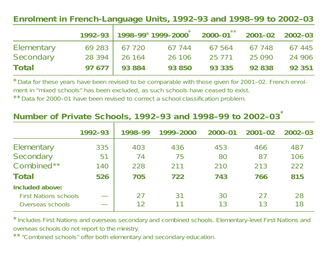#### **Enrolment in French-Language Units, 1992–93 and 1998–99 to 2002–03**

|                   |                |        | $1992 - 93$   $1998 - 99*1999 - 2000^*$ 2000-01** 2001-02 2002-03 |        |               |
|-------------------|----------------|--------|-------------------------------------------------------------------|--------|---------------|
| <b>Elementary</b> | 69 283 67 720  | 67 744 | 67 564                                                            |        | 67 748 67 445 |
| Secondary         | 28 394 26 164  | 26 106 | 25 7 7 1                                                          | 25 090 | 24 906        |
| Total             | $97677$ 93 884 | 93 850 | 93 335                                                            | 92 838 | 92 351        |

\*Data for these years have been revised to be comparable with those given for 2001–02. French enrolment in "mixed schools" has been excluded, as such schools have ceased to exist. \*\*Data for 2000–01 have been revised to correct <sup>a</sup> school classification problem.

#### **Number of Private Schools, 1992–93 and 1998–99 to 2002–03** \*

|                              | 1992-93 | 1998-99 | 1999-2000 | $2000 - 01$ | $2001 - 02$ | $2002 - 03$ |
|------------------------------|---------|---------|-----------|-------------|-------------|-------------|
| Elementary                   | 335     | 403     | 436       | 453         | 466         | 487         |
| Secondary                    | 51      | 74      | 75        | 80          | 87          | 106         |
| Combined**                   | 140     | 228     | 211       | 210         | 213         | 222         |
| <b>Total</b>                 | 526     | 705     | 722       | 743         | 766         | 815         |
| Included above:              |         |         |           |             |             |             |
| <b>First Nations schools</b> |         | 27      | 31        | 30          | 27          | 28          |
| Overseas schools             |         | 12      |           | 13          | 13          | 18          |

\*Includes First Nations and overseas secondary and combined schools. Elementary-level First Nations and overseas schools do not report to the ministry.

\*\*"Combined schools" offer both elementary and secondary education.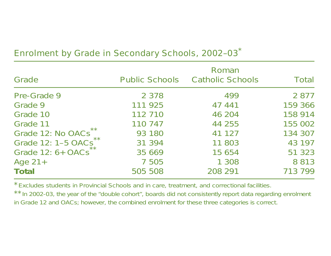| Grade                           | <b>Public Schools</b> | Roman<br><b>Catholic Schools</b> | Total   |
|---------------------------------|-----------------------|----------------------------------|---------|
| Pre-Grade 9                     | 2 3 7 8               | 499                              | 2 8 7 7 |
| Grade 9                         | 111 925               | 47 441                           | 159 366 |
| Grade 10                        | 112 710               | 46 204                           | 158 914 |
| Grade 11                        | 110 747               | 44 255                           | 155 002 |
| Grade 12: No OACs <sup>**</sup> | 93 180                | 41 127                           | 134 307 |
| Grade 12: 1-5 OACs              | 31 394                | 11 803                           | 43 197  |
| Grade 12: 6+ OACs**             | 35 669                | 15 654                           | 51 323  |
| Age $21+$                       | 7 5 0 5               | 1 3 0 8                          | 8 8 1 3 |
| Total                           | 505 508               | 208 291                          | 713 799 |

## Enrolment by Grade in Secondary Schools, 2002-03<sup>\*</sup>

\*Excludes students in Provincial Schools and in care, treatment, and correctional facilities.

\*\*In 2002-03, the year of the "double cohort", boards did not consistently report data regarding enrolment in Grade 12 and OACs; however, the *combined* enrolment for these three categories is correct.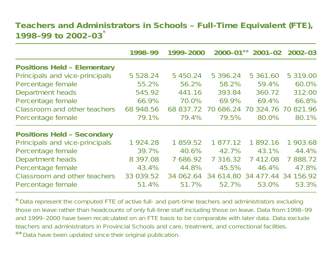#### **Teachers and Administrators in Schools – Full-Time Equivalent (FTE), 1998–99 to 2002–03**\*

|                                    | 1998-99   | 1999-2000 |              | $2000 - 01**$ 2001-02   | 2002-03          |
|------------------------------------|-----------|-----------|--------------|-------------------------|------------------|
| <b>Positions Held - Elementary</b> |           |           |              |                         |                  |
| Principals and vice-principals     | 5 5 28.24 | 5 450.24  | 5 396.24     | 5 361.60                | 5 319.00         |
| Percentage female                  | 55.2%     | 56.2%     | 58.2%        | 59.4%                   | 60.0%            |
| Department heads                   | 545.92    | 441.16    | 393.84       | 360.72                  | 312.00           |
| Percentage female                  | 66.9%     | 70.0%     | 69.9%        | 69.4%                   | 66.8%            |
| Classroom and other teachers       | 68 948.56 | 68 837.72 | 686.24<br>70 | 324.76 70<br>70         | 821.96           |
| Percentage female                  | 79.1%     | 79.4%     | 79.5%        | 80.0%                   | 80.1%            |
| <b>Positions Held - Secondary</b>  |           |           |              |                         |                  |
| Principals and vice-principals     | 1924.28   | 1 859.52  | 1 877.12     | 1892.16                 | 1 903.68         |
| Percentage female                  | 39.7%     | 40.6%     | 42.7%        | 43.1%                   | 44.4%            |
| Department heads                   | 8 397.08  | 7 686.92  | 7 316.32     | 412.08<br>$\mathcal{I}$ | 7888.72          |
| Percentage female                  | 43.4%     | 44.8%     | 45.5%        | 46.4%                   | 47.8%            |
| Classroom and other teachers       | 33 039.52 | 34 062.64 | 34 614.80    | 34                      | 477.44 34 156.92 |
| Percentage female                  | 51.4%     | 51.7%     | 52.7%        | 53.0%                   | 53.3%            |

\*Data represent the computed FTE of active full- and part-time teachers and administrators *excluding those on leave* rather than headcounts of *only* full-time staff *including those on leave*. Data from 1998–99 and 1999–2000 have been recalculated on an FTE basis to be comparable with later data. Data exclude teachers and administrators in Provincial Schools and care, treatment, and correctional facilities. \*\*Data have been updated since their original publication.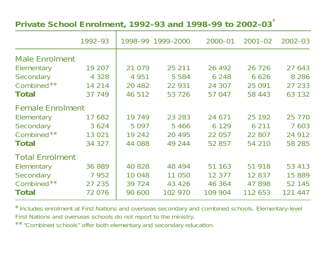#### **Private School Enrolment, 1992–93 and 1998–99 to 2002–03** \*

|                         | 1992-93 |          | 1998-99 1999-2000 | $2000 - 01$ | $2001 - 02$ | $2002 - 03$ |
|-------------------------|---------|----------|-------------------|-------------|-------------|-------------|
| <b>Male Enrolment</b>   |         |          |                   |             |             |             |
| Elementary              | 19 207  | 21 0 79  | 25 211            | 26 4 9 2    | 26 7 26     | 27 643      |
| Secondary               | 4 3 2 8 | 4 9 5 1  | 5 5 8 4           | 6 2 4 8     | 6 6 2 6     | 8 2 8 6     |
| Combined**              | 14 214  | 20 4 8 2 | 22 931            | 24 307      | 25 0 91     | 27 233      |
| Total                   | 37 749  | 46 512   | 53 7 26           | 57 047      | 58 443      | 63 132      |
| <b>Female Enrolment</b> |         |          |                   |             |             |             |
| Elementary              | 17 682  | 19 749   | 23 283            | 24 671      | 25 192      | 25 7 7 0    |
| Secondary               | 3 6 2 4 | 5 0 9 7  | 5466              | 6 1 2 9     | 6 2 1 1     | 7 603       |
| Combined**              | 13 0 21 | 19 24 2  | 20 4 9 5          | 22 057      | 22 807      | 24 912      |
| Total                   | 34 327  | 44 088   | 49 244            | 52 857      | 54 210      | 58 285      |
| <b>Total Enrolment</b>  |         |          |                   |             |             |             |
| Elementary              | 36 889  | 40 828   | 48 494            | 51 163      | 51 918      | 53 413      |
| Secondary               | 7952    | 10 048   | 11 050            | 12 377      | 12 837      | 15 889      |
| Combined**              | 27 235  | 39 7 24  | 43 4 26           | 46 364      | 47 898      | 52 145      |
| Total                   | 72 076  | 90 600   | 102 970           | 109 904     | 112 653     | 121 447     |

\*Includes enrolment at First Nations and overseas secondary and combined schools. Elementary-level First Nations and overseas schools do not report to the ministry.

\*\*"Combined schools" offer both elementary and secondary education.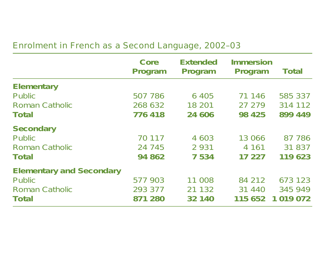#### Enrolment in French as <sup>a</sup> Second Language, 2002–03

|                                 | Core<br>Program | <b>Extended</b><br>Program | <b>Immersion</b><br>Program | <b>Total</b>  |
|---------------------------------|-----------------|----------------------------|-----------------------------|---------------|
| <b>Elementary</b>               |                 |                            |                             |               |
| Public                          | 507 786         | 6 4 0 5                    | 71 146                      | 585 337       |
| Roman Catholic                  | 268 632         | 18 201                     | 27 279                      | 314 112       |
| <b>Total</b>                    | 776418          | 24 606                     | 98 4 25                     | 899 449       |
| <b>Secondary</b>                |                 |                            |                             |               |
| Public                          | 70 117          | 4 603                      | 13 066                      | 87 786        |
| Roman Catholic                  | 24 745          | 2 9 3 1                    | 4 16 1                      | 31 837        |
| <b>Total</b>                    | 94 862          | 7 5 3 4                    | 17 227                      | 119 623       |
| <b>Elementary and Secondary</b> |                 |                            |                             |               |
| Public                          | 577 903         | 11 008                     | 84 212                      | 673 123       |
| <b>Roman Catholic</b>           | 293 377         | 21 132                     | 31 440                      | 345 949       |
| Total                           | 871 280         | 32 140                     | 115 652                     | 1 0 1 9 0 7 2 |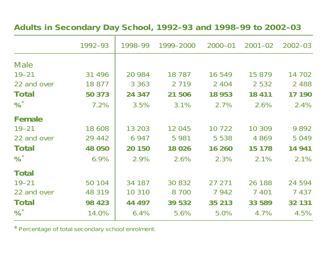#### **Adults in Secondary Day School, 1992–93 and 1998–99 to 2002–03**

|              | 1992-93  | 1998-99 | 1999-2000 | $2000 - 01$ | $2001 - 02$ | $2002 - 03$ |
|--------------|----------|---------|-----------|-------------|-------------|-------------|
| <b>Male</b>  |          |         |           |             |             |             |
| $19 - 21$    | 31 4 9 6 | 20 984  | 18 7 8 7  | 16 549      | 15 879      | 14 702      |
| 22 and over  | 18 877   | 3 3 6 3 | 2 7 1 9   | 2 4 0 4     | 2 5 3 2     | 2 4 8 8     |
| Total        | 50 373   | 24 347  | 21 506    | 18 953      | 18 411      | 17 190      |
| %            | 7.2%     | 3.5%    | 3.1%      | 2.7%        | 2.6%        | 2.4%        |
| Female       |          |         |           |             |             |             |
| $19 - 21$    | 18 608   | 13 203  | 12 045    | 10 722      | 10 309      | 9892        |
| 22 and over  | 29 442   | 6 9 4 7 | 5 9 8 1   | 5 5 3 8     | 4 8 6 9     | 5 0 4 9     |
| Total        | 48 050   | 20 150  | 18 0 26   | 16 260      | 15 178      | 14 941      |
| %            | 6.9%     | 2.9%    | 2.6%      | 2.3%        | 2.1%        | 2.1%        |
| <b>Total</b> |          |         |           |             |             |             |
| $19 - 21$    | 50 104   | 34 187  | 30 832    | 27 271      | 26 188      | 24 594      |
| 22 and over  | 48 319   | 10 310  | 8 700     | 7 9 4 2     | 7 4 0 1     | 7 4 3 7     |
| Total        | 98 4 23  | 44 497  | 39 532    | 35 213      | 33 589      | 32 131      |
| %            | 14.0%    | 6.4%    | 5.6%      | 5.0%        | 4.7%        | 4.5%        |

\*Percentage of total secondary school enrolment.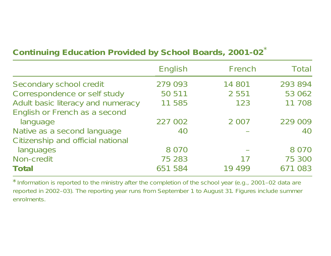| <b>Continuing Education Provided by School Boards, 2001-02*</b> |  |  |  |  |  |
|-----------------------------------------------------------------|--|--|--|--|--|
|-----------------------------------------------------------------|--|--|--|--|--|

|                                   | English | French  | Total   |
|-----------------------------------|---------|---------|---------|
| Secondary school credit           | 279 093 | 14 801  | 293 894 |
| Correspondence or self study      | 50 511  | 2 5 5 1 | 53 062  |
| Adult basic literacy and numeracy | 11 585  | 123     | 11 708  |
| English or French as a second     |         |         |         |
| language                          | 227 002 | 2 0 0 7 | 229 009 |
| Native as a second language       | 40      |         | 40      |
| Citizenship and official national |         |         |         |
| languages                         | 8 0 7 0 |         | 8 0 7 0 |
| Non-credit                        | 75 283  | 17      | 75 300  |
| <b>Total</b>                      | 651 584 | 19 499  | 671 083 |

\*Information is reported to the ministry after the completion of the school year (e.g., 2001–02 data are reported in 2002–03). The reporting year runs from September <sup>1</sup> to August 31. Figures include summer enrolments.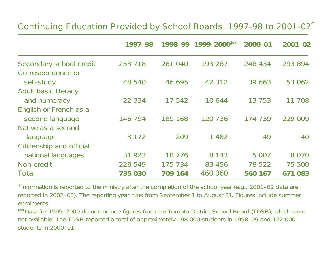#### Continuing Education Provided by School Boards, 1997-98 to 2001-02<sup>\*</sup>

|                          | 1997-98 | 1998-99  | 1999–2000** | 2000-01  | $2001 - 02$ |
|--------------------------|---------|----------|-------------|----------|-------------|
| Secondary school credit  | 253 718 | 261 040  | 193 287     | 248 434  | 293 894     |
| Correspondence or        |         |          |             |          |             |
| self-study               | 48 540  | 46 695   | 42 312      | 39 663   | 53 062      |
| Adult basic literacy     |         |          |             |          |             |
| and numeracy             | 22 334  | 17 542   | 10644       | 13 7 5 3 | 11 708      |
| English or French as a   |         |          |             |          |             |
| second language          | 146 794 | 189 168  | 120 736     | 174 739  | 229 009     |
| Native as a second       |         |          |             |          |             |
| language                 | 3 1 7 2 | 209      | 1 4 8 2     | 49       | 40          |
| Citizenship and official |         |          |             |          |             |
| national languages       | 31 923  | 18 7 7 6 | 8 1 4 3     | 5 0 0 7  | 8 0 7 0     |
| Non-credit               | 228 549 | 175 734  | 83 456      | 78 522   | 75 300      |
| <b>Total</b>             | 735 030 | 709 164  | 460 060     | 560 167  | 671 083     |

\*Information is reported to the ministry after the completion of the school year (e.g., 2001–02 data are reported in 2002–03). The reporting year runs from September <sup>1</sup> to August 31. Figures include summer enrolments.

\*\*Data for 1999–2000 do not include figures from the Toronto District School Board (TDSB), which were not available. The TDSB reported <sup>a</sup> total of approximately 198 000 students in 1998–99 and 122 000 students in 2000–01.